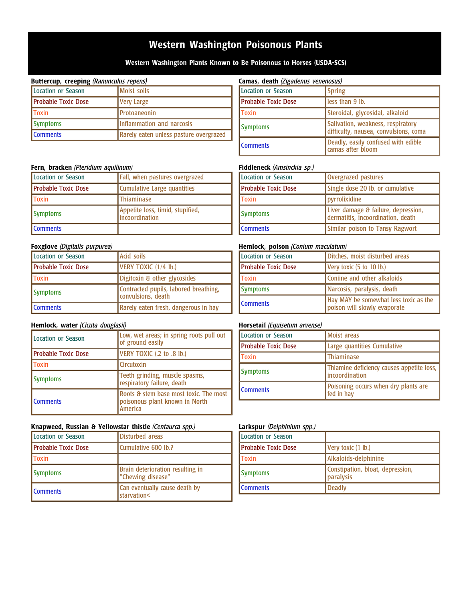# **Western Washington Poisonous Plants**

**Western Washington Plants Known to Be Poisonous to Horses (USDA-SCS)**

### **Buttercup, creeping** (Ranunculus repens)

| Location or Season          | Moist soils                            |
|-----------------------------|----------------------------------------|
| <b>IProbable Toxic Dose</b> | Very Large                             |
| <b>Toxin</b>                | <b>I</b> Protoaneonin                  |
| Symptoms                    | Inflammation and narcosis              |
| <b>I</b> Comments           | Rarely eaten unless pasture overgrazed |

# **Fern, bracken** (Pteridium aquilinum)

| Location or Season         | Fall, when pastures overgrazed                            |
|----------------------------|-----------------------------------------------------------|
| <b>Probable Toxic Dose</b> | Cumulative Large quantities                               |
| <b>Toxin</b>               | <b>Thiaminase</b>                                         |
| <b>Symptoms</b>            | Appetite loss, timid, stupified,<br><i>incoordination</i> |
| <b>I</b> Comments          |                                                           |

# **Foxglove** (Digitalis purpurea)

| Location or Season         | Acid soils                                                  |
|----------------------------|-------------------------------------------------------------|
| <b>Probable Toxic Dose</b> | VERY TOXIC (1/4 lb.)                                        |
| <b>Toxin</b>               | Digitoxin & other glycosides                                |
| Symptoms                   | Contracted pupils, labored breathing,<br>convulsions, death |
| <b>I</b> Comments          | Rarely eaten fresh, dangerous in hay                        |

# **Hemlock, water** (Cicuta douglasii)

| Location or Season         | Low, wet areas; in spring roots pull out<br>of ground easily                        |
|----------------------------|-------------------------------------------------------------------------------------|
| <b>Probable Toxic Dose</b> | VERY TOXIC (.2 to .8 lb.)                                                           |
| <b>Toxin</b>               | <b>I</b> Circutoxin                                                                 |
| <b>Symptoms</b>            | Teeth grinding, muscle spasms,<br>respiratory failure, death                        |
| <b>I</b> Comments          | Roots & stem base most toxic. The most<br>poisonous plant known in North<br>America |

# **Knapweed, Russian & Yellowstar thistle** (Centaurca spp.)

| Location or Season         | Disturbed areas                                       |
|----------------------------|-------------------------------------------------------|
| <b>Probable Toxic Dose</b> | Cumulative 600 lb.?                                   |
| <b>Toxin</b>               |                                                       |
| Symptoms                   | Brain deterioration resulting in<br>"Chewing disease" |
| <b>I</b> Comments          | Can eventually cause death by<br>starvation<          |

## **Camas, death** (Zigadenus venenosus)

| $\sum$                     |                                                                            |
|----------------------------|----------------------------------------------------------------------------|
| Location or Season         | <b>Spring</b>                                                              |
| <b>Probable Toxic Dose</b> | less than 9 lb.                                                            |
| <b>Toxin</b>               | Steroidal, glycosidal, alkaloid                                            |
| <b>Symptoms</b>            | Salivation, weakness, respiratory<br>difficulty, nausea, convulsions, coma |
| <b>I</b> Comments          | Deadly, easily confused with edible<br>camas after bloom                   |

# **Fiddleneck** (Amsinckia sp.)

| Location or Season  | Overgrazed pastures                                                      |
|---------------------|--------------------------------------------------------------------------|
| Probable Toxic Dose | Single dose 20 lb. or cumulative                                         |
| <b>Toxin</b>        | pyrrolixidine                                                            |
| <b>Symptoms</b>     | Liver damage & failure, depression,<br>dermatitis, incoordination, death |
| <b>Comments</b>     | Similar poison to Tansy Ragwort                                          |

### **Hemlock, poison** (Conium maculatum)

| Location or Season         | Ditches, moist disturbed areas                                        |
|----------------------------|-----------------------------------------------------------------------|
| <b>Probable Toxic Dose</b> | Very toxic (5 to 10 lb.)                                              |
| <b>Toxin</b>               | Coniine and other alkaloids                                           |
| Symptoms                   | Narcosis, paralysis, death                                            |
| <b>I</b> Comments          | Hay MAY be somewhat less toxic as the<br>poison will slowly evaporate |

# **Horsetail** (Equisetum arvense)

| Location or Season  | <b>Moist</b> areas                                                  |
|---------------------|---------------------------------------------------------------------|
| Probable Toxic Dose | Large quantities Cumulative                                         |
| <b>IToxin</b>       | <b>Thiaminase</b>                                                   |
| <b>Symptoms</b>     | Thiamine deficiency causes appetite loss,<br><b>lincoordination</b> |
| <b>I</b> Comments   | Poisoning occurs when dry plants are<br>fed in hay                  |

# **Larkspur** (Delphinium spp.)

| Location or Season  |                                               |
|---------------------|-----------------------------------------------|
| Probable Toxic Dose | Very toxic (1 lb.)                            |
| <b>Toxin</b>        | Alkaloids-delphinine                          |
| <b>Symptoms</b>     | Constipation, bloat, depression,<br>paralysis |
| <b>I</b> Comments   | <b>Deadly</b>                                 |